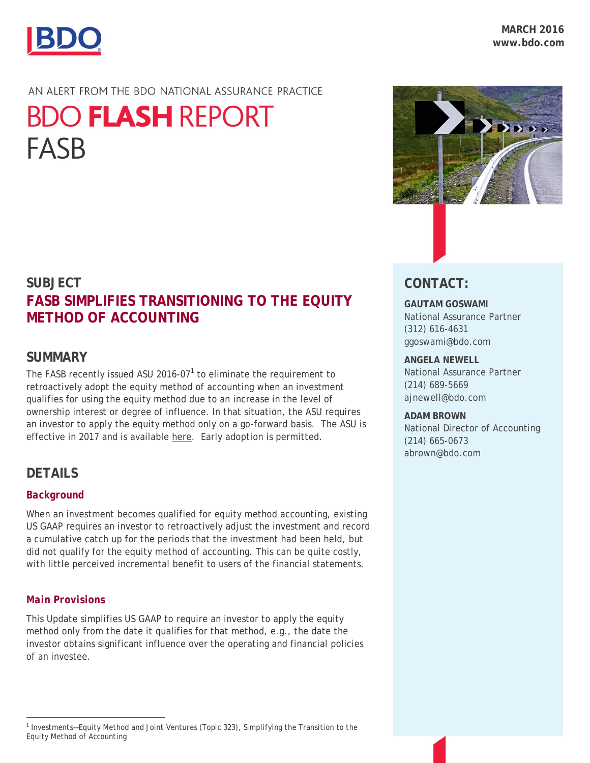

## AN ALERT FROM THE BDO NATIONAL ASSURANCE PRACTICE

# **BDO FLASH REPORT FASB**

# **SUBJECT FASB SIMPLIFIES TRANSITIONING TO THE EQUITY METHOD OF ACCOUNTING**

# **SUMMARY**

The FASB recently issued ASU 20[1](#page-0-0)6-07 $1$  to eliminate the requirement to retroactively adopt the equity method of accounting when an investment qualifies for using the equity method due to an increase in the level of ownership interest or degree of influence. In that situation, the ASU requires an investor to apply the equity method only on a go-forward basis. The ASU is effective in 2017 and is available [here.](http://www.fasb.org/jsp/FASB/Document_C/DocumentPage?cid=1176167979908&acceptedDisclaimer=true) Early adoption is permitted.

# **DETAILS**

## *Background*

When an investment becomes qualified for equity method accounting, existing US GAAP requires an investor to retroactively adjust the investment and record a cumulative catch up for the periods that the investment had been held, but did not qualify for the equity method of accounting. This can be quite costly, with little perceived incremental benefit to users of the financial statements.

## *Main Provisions*

This Update simplifies US GAAP to require an investor to apply the equity method only from the date it qualifies for that method, e.g., the date the investor obtains significant influence over the operating and financial policies of an investee.

<span id="page-0-0"></span>



# **CONTACT:**

## **GAUTAM GOSWAMI**

National Assurance Partner (312) 616-4631 ggoswami@bdo.com

### **ANGELA NEWELL**

National Assurance Partner (214) 689-5669 ajnewell@bdo.com

#### **ADAM BROWN**

National Director of Accounting (214) 665-0673 abrown@bdo.com